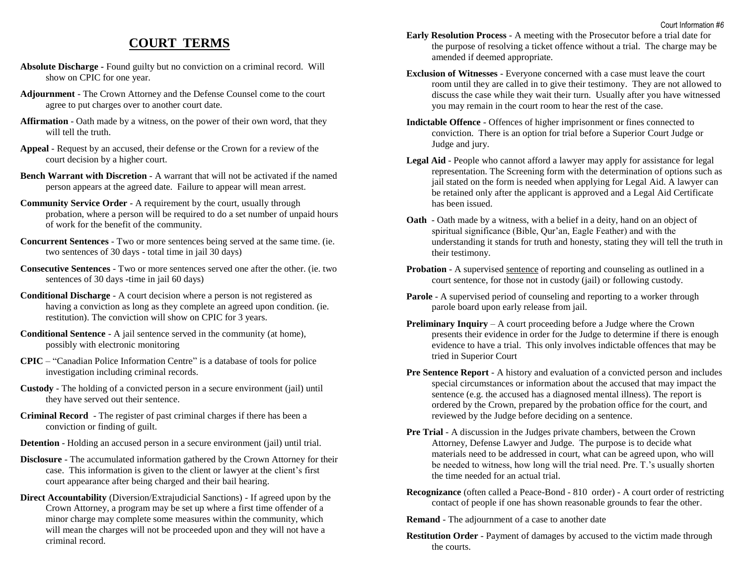## **COURT TERMS**

- **Absolute Discharge -** Found guilty but no conviction on a criminal record. Will show on CPIC for one year.
- **Adjournment** The Crown Attorney and the Defense Counsel come to the court agree to put charges over to another court date.
- **Affirmation** Oath made by a witness, on the power of their own word, that they will tell the truth.
- **Appeal** Request by an accused, their defense or the Crown for a review of the court decision by a higher court.
- **Bench Warrant with Discretion** A warrant that will not be activated if the named person appears at the agreed date. Failure to appear will mean arrest.
- **Community Service Order** A requirement by the court, usually through probation, where a person will be required to do a set number of unpaid hours of work for the benefit of the community.
- **Concurrent Sentences** Two or more sentences being served at the same time. (ie. two sentences of 30 days - total time in jail 30 days)
- **Consecutive Sentences** Two or more sentences served one after the other. (ie. two sentences of 30 days -time in jail 60 days)
- **Conditional Discharge** A court decision where a person is not registered as having a conviction as long as they complete an agreed upon condition. (ie. restitution). The conviction will show on CPIC for 3 years.
- **Conditional Sentence** A jail sentence served in the community (at home), possibly with electronic monitoring
- **CPIC** "Canadian Police Information Centre" is a database of tools for police investigation including criminal records.
- **Custody** The holding of a convicted person in a secure environment (jail) until they have served out their sentence.
- **Criminal Record** The register of past criminal charges if there has been a conviction or finding of guilt.
- **Detention** Holding an accused person in a secure environment (jail) until trial.
- **Disclosure** The accumulated information gathered by the Crown Attorney for their case. This information is given to the client or lawyer at the client's first court appearance after being charged and their bail hearing.
- **Direct Accountability** (Diversion/Extrajudicial Sanctions) If agreed upon by the Crown Attorney, a program may be set up where a first time offender of a minor charge may complete some measures within the community, which will mean the charges will not be proceeded upon and they will not have a criminal record.
- **Early Resolution Process** A meeting with the Prosecutor before a trial date for the purpose of resolving a ticket offence without a trial. The charge may be amended if deemed appropriate.
- **Exclusion of Witnesses** Everyone concerned with a case must leave the court room until they are called in to give their testimony. They are not allowed to discuss the case while they wait their turn. Usually after you have witnessed you may remain in the court room to hear the rest of the case.
- **Indictable Offence** Offences of higher imprisonment or fines connected to conviction. There is an option for trial before a Superior Court Judge or Judge and jury.
- **Legal Aid** People who cannot afford a lawyer may apply for assistance for legal representation. The Screening form with the determination of options such as jail stated on the form is needed when applying for Legal Aid. A lawyer can be retained only after the applicant is approved and a Legal Aid Certificate has been issued.
- **Oath** Oath made by a witness, with a belief in a deity, hand on an object of spiritual significance (Bible, Qur'an, Eagle Feather) and with the understanding it stands for truth and honesty, stating they will tell the truth in their testimony.
- **Probation** A supervised sentence of reporting and counseling as outlined in a court sentence, for those not in custody (jail) or following custody.
- **Parole** A supervised period of counseling and reporting to a worker through parole board upon early release from jail.
- **Preliminary Inquiry** A court proceeding before a Judge where the Crown presents their evidence in order for the Judge to determine if there is enough evidence to have a trial. This only involves indictable offences that may be tried in Superior Court
- **Pre Sentence Report** A history and evaluation of a convicted person and includes special circumstances or information about the accused that may impact the sentence (e.g. the accused has a diagnosed mental illness). The report is ordered by the Crown, prepared by the probation office for the court, and reviewed by the Judge before deciding on a sentence.
- **Pre Trial** A discussion in the Judges private chambers, between the Crown Attorney, Defense Lawyer and Judge. The purpose is to decide what materials need to be addressed in court, what can be agreed upon, who will be needed to witness, how long will the trial need. Pre. T.'s usually shorten the time needed for an actual trial.
- **Recognizance** (often called a Peace-Bond 810 order) A court order of restricting contact of people if one has shown reasonable grounds to fear the other.
- **Remand** The adjournment of a case to another date
- **Restitution Order** Payment of damages by accused to the victim made through the courts.